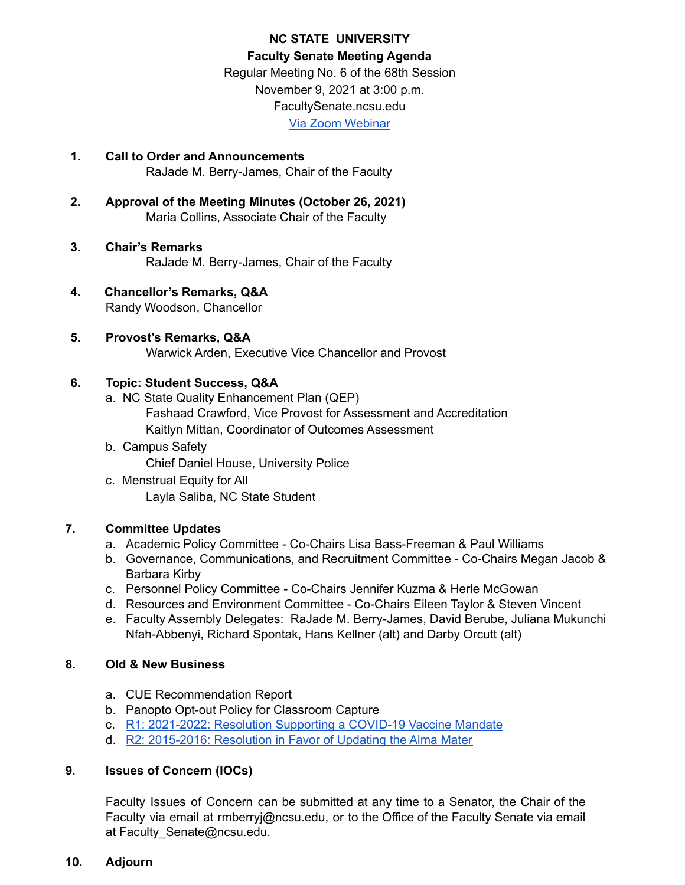# **NC STATE UNIVERSITY Faculty Senate Meeting Agenda** Regular Meeting No. 6 of the 68th Session November 9, 2021 at 3:00 p.m. FacultySenate.ncsu.edu Via Zoom [Webinar](https://ncsu.zoom.us/webinar/register/WN_D0yELiv9TWqR6-BQz0XWFQ)

- **1. Call to Order and Announcements** RaJade M. Berry-James, Chair of the Faculty
- **2. Approval of the Meeting Minutes (October 26, 2021)** Maria Collins, Associate Chair of the Faculty
- **3. Chair's Remarks** RaJade M. Berry-James, Chair of the Faculty
- **4. Chancellor's Remarks, Q&A** Randy Woodson, Chancellor

# **5. Provost's Remarks, Q&A**

Warwick Arden, Executive Vice Chancellor and Provost

# **6. Topic: Student Success, Q&A**

- a. NC State Quality Enhancement Plan (QEP) Fashaad Crawford, Vice Provost for Assessment and Accreditation Kaitlyn Mittan, Coordinator of Outcomes Assessment
- b. Campus Safety Chief Daniel House, University Police
- c. Menstrual Equity for All Layla Saliba, NC State Student

# **7. Committee Updates**

- a. Academic Policy Committee Co-Chairs Lisa Bass-Freeman & Paul Williams
- b. Governance, Communications, and Recruitment Committee Co-Chairs Megan Jacob & Barbara Kirby
- c. Personnel Policy Committee Co-Chairs Jennifer Kuzma & Herle McGowan
- d. Resources and Environment Committee Co-Chairs Eileen Taylor & Steven Vincent
- e. Faculty Assembly Delegates: RaJade M. Berry-James, David Berube, Juliana Mukunchi Nfah-Abbenyi, Richard Spontak, Hans Kellner (alt) and Darby Orcutt (alt)

## **8. Old & New Business**

- a. CUE Recommendation Report
- b. Panopto Opt-out Policy for Classroom Capture
- c. R1: [2021-2022:](https://facultysenate.ncsu.edu/wp-content/uploads/sites/65/2021/09/NCSU-28th-Faculty-Senate-R1-2021_2022-Resolution-of-COVID-19-Vaccine-Mandate.pdf) Resolution Supporting a COVID-19 Vaccine Mandate
- d. R2: [2015-2016:](https://facultysenate.ncsu.edu/wp-content/uploads/sites/65/2016/05/R2-AlmaMater.pdf) Resolution in Favor of Updating the Alma Mater

## **9**. **Issues of Concern (IOCs)**

Faculty Issues of Concern can be submitted at any time to a Senator, the Chair of the Faculty via email at rmberryj@ncsu.edu, or to the Office of the Faculty Senate via email at Faculty Senate@ncsu.edu.

## **10. Adjourn**